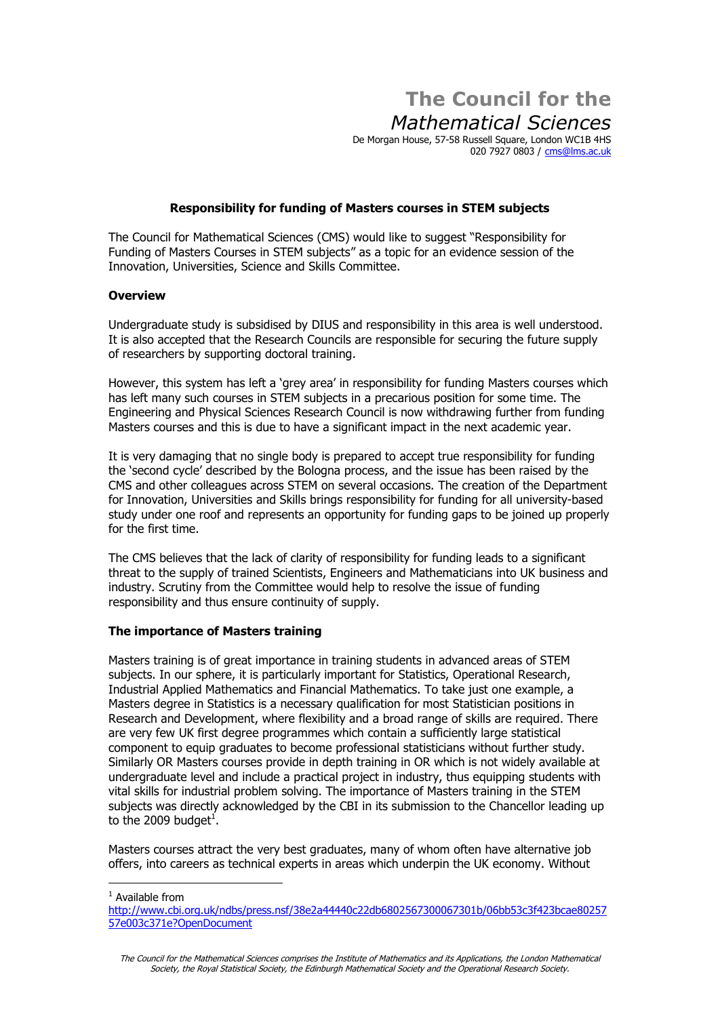# **The Council for the Mathematical Sciences**

De Morgan House, 57-58 Russell Square, London WC1B 4HS 020 7927 0803 / [cms@lms.ac.uk](mailto:cms@lms.ac.uk)

# **Responsibility for funding of Masters courses in STEM subjects**

The Council for Mathematical Sciences (CMS) would like to suggest "Responsibility for Funding of Masters Courses in STEM subjectsî as a topic for an evidence session of the Innovation, Universities, Science and Skills Committee.

#### **Overview**

Undergraduate study is subsidised by DIUS and responsibility in this area is well understood. It is also accepted that the Research Councils are responsible for securing the future supply of researchers by supporting doctoral training.

However, this system has left a 'grey area' in responsibility for funding Masters courses which has left many such courses in STEM subjects in a precarious position for some time. The Engineering and Physical Sciences Research Council is now withdrawing further from funding Masters courses and this is due to have a significant impact in the next academic year.

It is very damaging that no single body is prepared to accept true responsibility for funding the ësecond cycleí described by the Bologna process, and the issue has been raised by the CMS and other colleagues across STEM on several occasions. The creation of the Department for Innovation, Universities and Skills brings responsibility for funding for all university-based study under one roof and represents an opportunity for funding gaps to be joined up properly for the first time.

The CMS believes that the lack of clarity of responsibility for funding leads to a significant threat to the supply of trained Scientists, Engineers and Mathematicians into UK business and industry. Scrutiny from the Committee would help to resolve the issue of funding responsibility and thus ensure continuity of supply.

# **The importance of Masters training**

Masters training is of great importance in training students in advanced areas of STEM subjects. In our sphere, it is particularly important for Statistics, Operational Research, Industrial Applied Mathematics and Financial Mathematics. To take just one example, a Masters degree in Statistics is a necessary qualification for most Statistician positions in Research and Development, where flexibility and a broad range of skills are required. There are very few UK first degree programmes which contain a sufficiently large statistical component to equip graduates to become professional statisticians without further study. Similarly OR Masters courses provide in depth training in OR which is not widely available at undergraduate level and include a practical project in industry, thus equipping students with vital skills for industrial problem solving. The importance of Masters training in the STEM subjects was directly acknowledged by the CBI in its submission to the Chancellor leading up to the 2009 budget<sup>1</sup>.

Masters courses attract the very best graduates, many of whom often have alternative job offers, into careers as technical experts in areas which underpin the UK economy. Without

 $<sup>1</sup>$  Available from</sup>

[http://www.cbi.org.uk/ndbs/press.nsf/38e2a44440c22db6802567300067301b/06bb53c3f423bcae8025](http://www.cbi.org.uk/ndbs/press.nsf/38e2a44440c22db6802567300067301b/06bb53c3f423bcae80257)757e003c371e?OpenDocument

The Council for the Mathematical Sciences comprises the Institute of Mathematics and its Applications, the London Mathematical Society, the Royal Statistical Society, the Edinburgh Mathematical Society and the Operational Research Society.